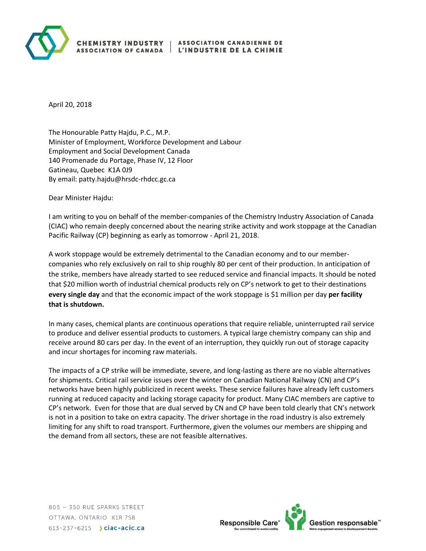

## **CHEMISTRY INDUSTRY ASSOCIATION OF CANADA**

April 20, 2018

The Honourable Patty Hajdu, P.C., M.P. Minister of Employment, Workforce Development and Labour Employment and Social Development Canada 140 Promenade du Portage, Phase IV, 12 Floor Gatineau, Quebec K1A 0J9 By email: patty.hajdu@hrsdc-rhdcc.gc.ca

Dear Minister Hajdu:

I am writing to you on behalf of the member-companies of the Chemistry Industry Association of Canada (CIAC) who remain deeply concerned about the nearing strike activity and work stoppage at the Canadian Pacific Railway (CP) beginning as early as tomorrow - April 21, 2018.

A work stoppage would be extremely detrimental to the Canadian economy and to our membercompanies who rely exclusively on rail to ship roughly 80 per cent of their production. In anticipation of the strike, members have already started to see reduced service and financial impacts. It should be noted that \$20 million worth of industrial chemical products rely on CP's network to get to their destinations **every single day** and that the economic impact of the work stoppage is \$1 million per day **per facility that is shutdown.**

In many cases, chemical plants are continuous operations that require reliable, uninterrupted rail service to produce and deliver essential products to customers. A typical large chemistry company can ship and receive around 80 cars per day. In the event of an interruption, they quickly run out of storage capacity and incur shortages for incoming raw materials.

The impacts of a CP strike will be immediate, severe, and long-lasting as there are no viable alternatives for shipments. Critical rail service issues over the winter on Canadian National Railway (CN) and CP's networks have been highly publicized in recent weeks. These service failures have already left customers running at reduced capacity and lacking storage capacity for product. Many CIAC members are captive to CP's network. Even for those that are dual served by CN and CP have been told clearly that CN's network is not in a position to take on extra capacity. The driver shortage in the road industry is also extremely limiting for any shift to road transport. Furthermore, given the volumes our members are shipping and the demand from all sectors, these are not feasible alternatives.